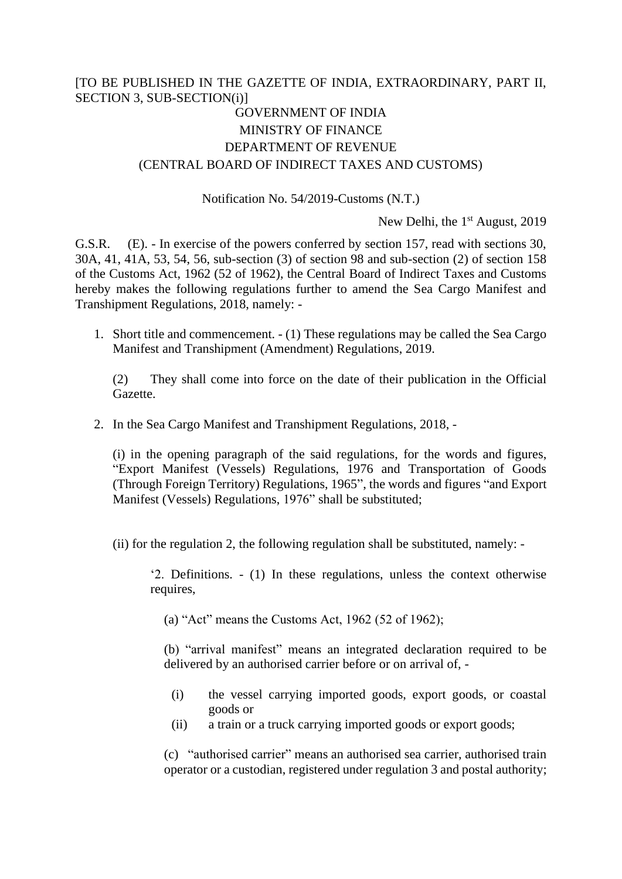## [TO BE PUBLISHED IN THE GAZETTE OF INDIA, EXTRAORDINARY, PART II, SECTION 3, SUB-SECTION(i)]

# GOVERNMENT OF INDIA MINISTRY OF FINANCE DEPARTMENT OF REVENUE (CENTRAL BOARD OF INDIRECT TAXES AND CUSTOMS)

### Notification No. 54/2019-Customs (N.T.)

New Delhi, the 1<sup>st</sup> August, 2019

G.S.R. (E). - In exercise of the powers conferred by section 157, read with sections 30, 30A, 41, 41A, 53, 54, 56, sub-section (3) of section 98 and sub-section (2) of section 158 of the Customs Act, 1962 (52 of 1962), the Central Board of Indirect Taxes and Customs hereby makes the following regulations further to amend the Sea Cargo Manifest and Transhipment Regulations, 2018, namely: -

1. Short title and commencement. - (1) These regulations may be called the Sea Cargo Manifest and Transhipment (Amendment) Regulations, 2019.

(2) They shall come into force on the date of their publication in the Official Gazette.

2. In the Sea Cargo Manifest and Transhipment Regulations, 2018, -

(i) in the opening paragraph of the said regulations, for the words and figures, "Export Manifest (Vessels) Regulations, 1976 and Transportation of Goods (Through Foreign Territory) Regulations, 1965", the words and figures "and Export Manifest (Vessels) Regulations, 1976" shall be substituted;

(ii) for the regulation 2, the following regulation shall be substituted, namely: -

'2. Definitions. - (1) In these regulations, unless the context otherwise requires,

(a) "Act" means the Customs Act, 1962 (52 of 1962);

(b) "arrival manifest" means an integrated declaration required to be delivered by an authorised carrier before or on arrival of, -

- (i) the vessel carrying imported goods, export goods, or coastal goods or
- (ii) a train or a truck carrying imported goods or export goods;

(c) "authorised carrier" means an authorised sea carrier, authorised train operator or a custodian, registered under regulation 3 and postal authority;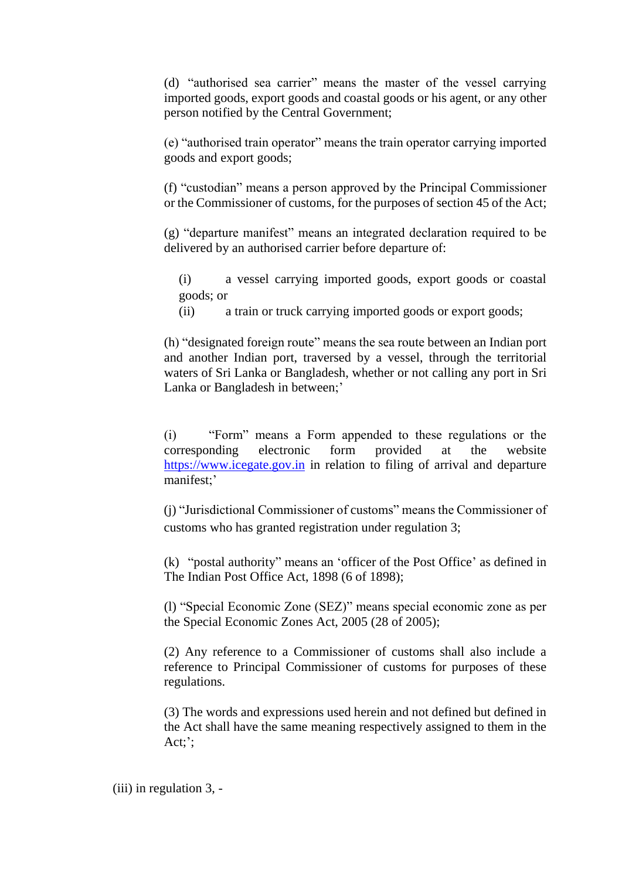(d) "authorised sea carrier" means the master of the vessel carrying imported goods, export goods and coastal goods or his agent, or any other person notified by the Central Government;

(e) "authorised train operator" means the train operator carrying imported goods and export goods;

(f) "custodian" means a person approved by the Principal Commissioner or the Commissioner of customs, for the purposes of section 45 of the Act;

(g) "departure manifest" means an integrated declaration required to be delivered by an authorised carrier before departure of:

- (i) a vessel carrying imported goods, export goods or coastal goods; or
- (ii) a train or truck carrying imported goods or export goods;

(h) "designated foreign route" means the sea route between an Indian port and another Indian port, traversed by a vessel, through the territorial waters of Sri Lanka or Bangladesh, whether or not calling any port in Sri Lanka or Bangladesh in between;'

(i) "Form" means a Form appended to these regulations or the corresponding electronic form provided at the website [https://www.icegate.gov.in](https://www.icegate.gov.in/) in relation to filing of arrival and departure manifest;'

(j) "Jurisdictional Commissioner of customs" means the Commissioner of customs who has granted registration under regulation 3;

(k) "postal authority" means an 'officer of the Post Office' as defined in The Indian Post Office Act, 1898 (6 of 1898);

(l) "Special Economic Zone (SEZ)" means special economic zone as per the Special Economic Zones Act, 2005 (28 of 2005);

(2) Any reference to a Commissioner of customs shall also include a reference to Principal Commissioner of customs for purposes of these regulations.

(3) The words and expressions used herein and not defined but defined in the Act shall have the same meaning respectively assigned to them in the Act;';

(iii) in regulation 3, -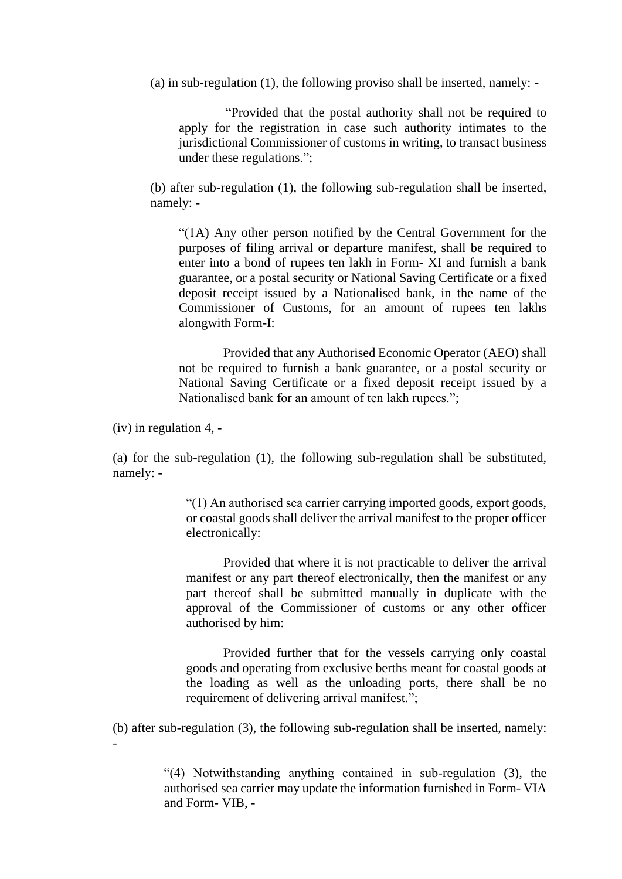(a) in sub-regulation (1), the following proviso shall be inserted, namely: -

"Provided that the postal authority shall not be required to apply for the registration in case such authority intimates to the jurisdictional Commissioner of customs in writing, to transact business under these regulations.";

(b) after sub-regulation (1), the following sub-regulation shall be inserted, namely: -

"(1A) Any other person notified by the Central Government for the purposes of filing arrival or departure manifest, shall be required to enter into a bond of rupees ten lakh in Form- XI and furnish a bank guarantee, or a postal security or National Saving Certificate or a fixed deposit receipt issued by a Nationalised bank, in the name of the Commissioner of Customs, for an amount of rupees ten lakhs alongwith Form-I:

Provided that any Authorised Economic Operator (AEO) shall not be required to furnish a bank guarantee, or a postal security or National Saving Certificate or a fixed deposit receipt issued by a Nationalised bank for an amount of ten lakh rupees.";

(iv) in regulation 4, -

(a) for the sub-regulation (1), the following sub-regulation shall be substituted, namely: -

> "(1) An authorised sea carrier carrying imported goods, export goods, or coastal goods shall deliver the arrival manifest to the proper officer electronically:

> Provided that where it is not practicable to deliver the arrival manifest or any part thereof electronically, then the manifest or any part thereof shall be submitted manually in duplicate with the approval of the Commissioner of customs or any other officer authorised by him:

> Provided further that for the vessels carrying only coastal goods and operating from exclusive berths meant for coastal goods at the loading as well as the unloading ports, there shall be no requirement of delivering arrival manifest.";

(b) after sub-regulation (3), the following sub-regulation shall be inserted, namely: -

> "(4) Notwithstanding anything contained in sub-regulation (3), the authorised sea carrier may update the information furnished in Form- VIA and Form- VIB, -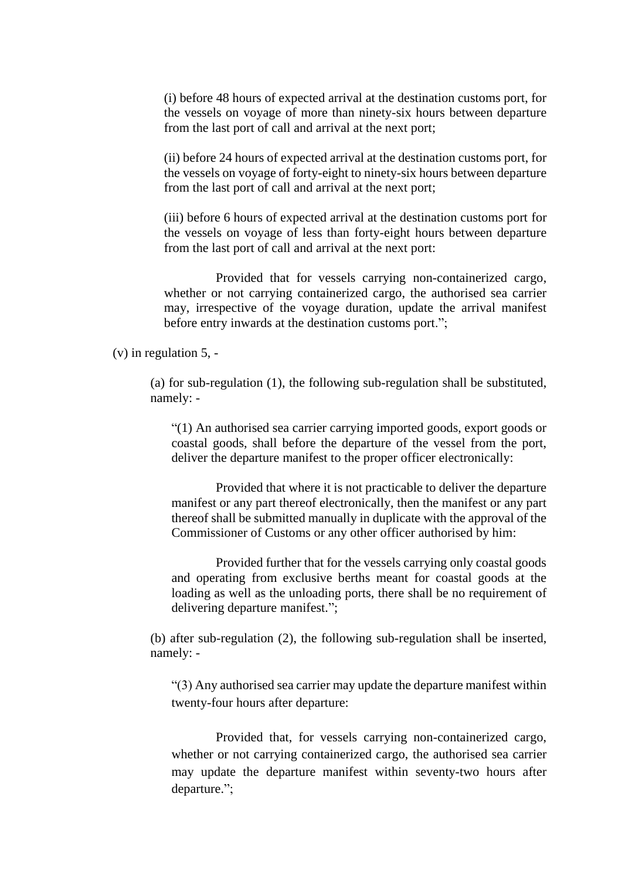(i) before 48 hours of expected arrival at the destination customs port, for the vessels on voyage of more than ninety-six hours between departure from the last port of call and arrival at the next port;

(ii) before 24 hours of expected arrival at the destination customs port, for the vessels on voyage of forty-eight to ninety-six hours between departure from the last port of call and arrival at the next port;

(iii) before 6 hours of expected arrival at the destination customs port for the vessels on voyage of less than forty-eight hours between departure from the last port of call and arrival at the next port:

Provided that for vessels carrying non-containerized cargo, whether or not carrying containerized cargo, the authorised sea carrier may, irrespective of the voyage duration, update the arrival manifest before entry inwards at the destination customs port.";

(v) in regulation 5, -

(a) for sub-regulation (1), the following sub-regulation shall be substituted, namely: -

"(1) An authorised sea carrier carrying imported goods, export goods or coastal goods, shall before the departure of the vessel from the port, deliver the departure manifest to the proper officer electronically:

Provided that where it is not practicable to deliver the departure manifest or any part thereof electronically, then the manifest or any part thereof shall be submitted manually in duplicate with the approval of the Commissioner of Customs or any other officer authorised by him:

Provided further that for the vessels carrying only coastal goods and operating from exclusive berths meant for coastal goods at the loading as well as the unloading ports, there shall be no requirement of delivering departure manifest.";

(b) after sub-regulation (2), the following sub-regulation shall be inserted, namely: -

"(3) Any authorised sea carrier may update the departure manifest within twenty-four hours after departure:

Provided that, for vessels carrying non-containerized cargo, whether or not carrying containerized cargo, the authorised sea carrier may update the departure manifest within seventy-two hours after departure.";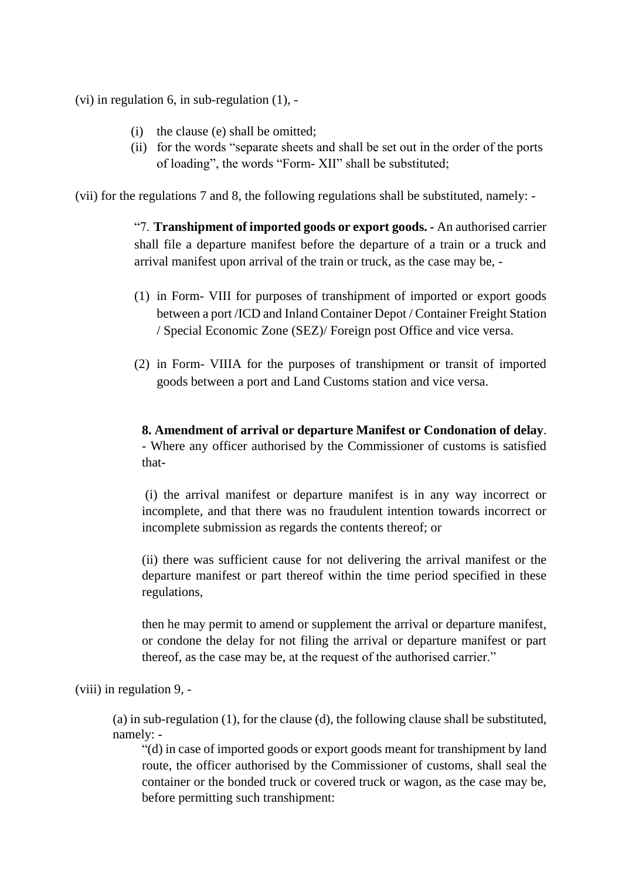(vi) in regulation 6, in sub-regulation (1), -

- (i) the clause (e) shall be omitted;
- (ii) for the words "separate sheets and shall be set out in the order of the ports of loading", the words "Form- XII" shall be substituted;

(vii) for the regulations 7 and 8, the following regulations shall be substituted, namely: -

"7. **Transhipment of imported goods or export goods. -** An authorised carrier shall file a departure manifest before the departure of a train or a truck and arrival manifest upon arrival of the train or truck, as the case may be, -

- (1) in Form- VIII for purposes of transhipment of imported or export goods between a port /ICD and Inland Container Depot / Container Freight Station / Special Economic Zone (SEZ)/ Foreign post Office and vice versa.
- (2) in Form- VIIIA for the purposes of transhipment or transit of imported goods between a port and Land Customs station and vice versa.

**8. Amendment of arrival or departure Manifest or Condonation of delay**. - Where any officer authorised by the Commissioner of customs is satisfied that-

(i) the arrival manifest or departure manifest is in any way incorrect or incomplete, and that there was no fraudulent intention towards incorrect or incomplete submission as regards the contents thereof; or

(ii) there was sufficient cause for not delivering the arrival manifest or the departure manifest or part thereof within the time period specified in these regulations,

then he may permit to amend or supplement the arrival or departure manifest, or condone the delay for not filing the arrival or departure manifest or part thereof, as the case may be, at the request of the authorised carrier."

(viii) in regulation 9, -

(a) in sub-regulation (1), for the clause (d), the following clause shall be substituted, namely: -

"(d) in case of imported goods or export goods meant for transhipment by land route, the officer authorised by the Commissioner of customs, shall seal the container or the bonded truck or covered truck or wagon, as the case may be, before permitting such transhipment: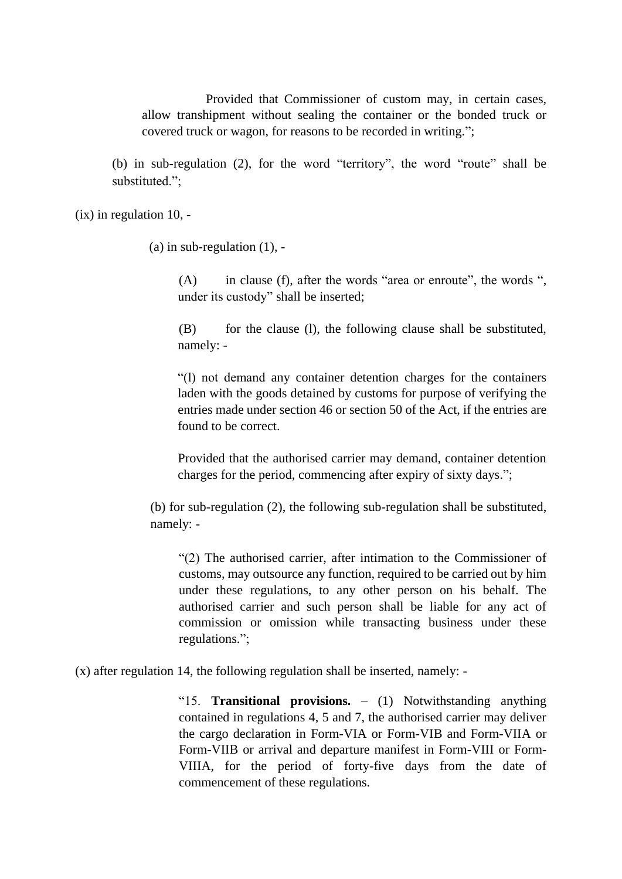Provided that Commissioner of custom may, in certain cases, allow transhipment without sealing the container or the bonded truck or covered truck or wagon, for reasons to be recorded in writing.";

(b) in sub-regulation (2), for the word "territory", the word "route" shall be substituted.";

 $(ix)$  in regulation 10. -

(a) in sub-regulation  $(1)$ , -

(A) in clause (f), after the words "area or enroute", the words ", under its custody" shall be inserted;

(B) for the clause (l), the following clause shall be substituted, namely: -

"(l) not demand any container detention charges for the containers laden with the goods detained by customs for purpose of verifying the entries made under section 46 or section 50 of the Act, if the entries are found to be correct.

Provided that the authorised carrier may demand, container detention charges for the period, commencing after expiry of sixty days.";

(b) for sub-regulation (2), the following sub-regulation shall be substituted, namely: -

"(2) The authorised carrier, after intimation to the Commissioner of customs, may outsource any function, required to be carried out by him under these regulations, to any other person on his behalf. The authorised carrier and such person shall be liable for any act of commission or omission while transacting business under these regulations.";

(x) after regulation 14, the following regulation shall be inserted, namely: -

"15. **Transitional provisions.** – (1) Notwithstanding anything contained in regulations 4, 5 and 7, the authorised carrier may deliver the cargo declaration in Form-VIA or Form-VIB and Form-VIIA or Form-VIIB or arrival and departure manifest in Form-VIII or Form-VIIIA, for the period of forty-five days from the date of commencement of these regulations.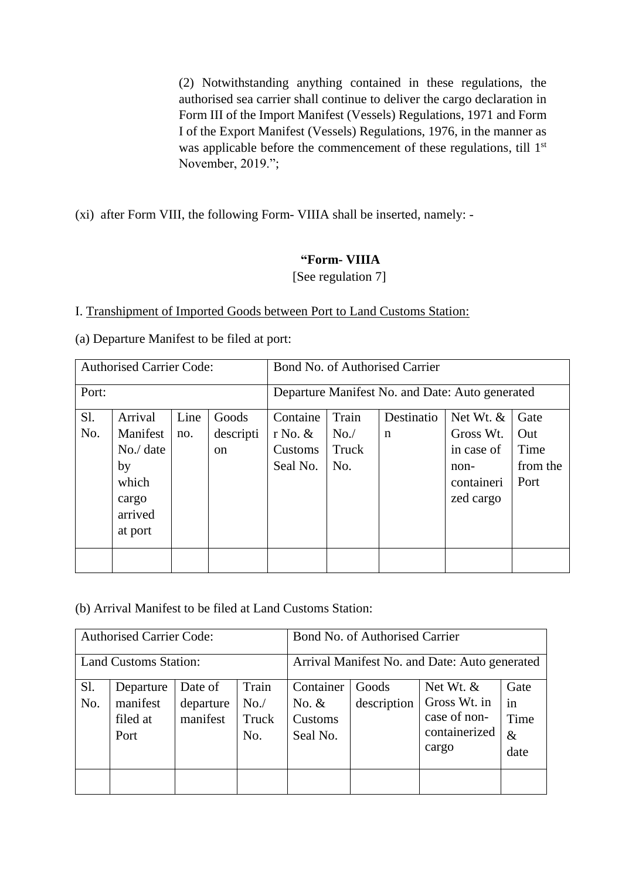(2) Notwithstanding anything contained in these regulations, the authorised sea carrier shall continue to deliver the cargo declaration in Form III of the Import Manifest (Vessels) Regulations, 1971 and Form I of the Export Manifest (Vessels) Regulations, 1976, in the manner as was applicable before the commencement of these regulations, till 1<sup>st</sup> November, 2019.";

(xi) after Form VIII, the following Form- VIIIA shall be inserted, namely: -

## **"Form- VIIIA**

[See regulation 7]

### I. Transhipment of Imported Goods between Port to Land Customs Station:

(a) Departure Manifest to be filed at port:

| <b>Authorised Carrier Code:</b> |                                                                                                                |  |                                              | Bond No. of Authorised Carrier                  |                           |                                                                             |                                         |  |  |  |
|---------------------------------|----------------------------------------------------------------------------------------------------------------|--|----------------------------------------------|-------------------------------------------------|---------------------------|-----------------------------------------------------------------------------|-----------------------------------------|--|--|--|
| Port:                           |                                                                                                                |  |                                              | Departure Manifest No. and Date: Auto generated |                           |                                                                             |                                         |  |  |  |
| $S1$ .<br>No.                   | Line<br>Arrival<br>Goods<br>Manifest<br>descripti<br>no.<br>No./ date<br><sub>on</sub><br>by<br>which<br>cargo |  | Containe<br>r No. $&$<br>Customs<br>Seal No. | Train<br>No.<br>Truck<br>No.                    | Destinatio<br>$\mathbf n$ | Net Wt. $&$<br>Gross Wt.<br>in case of<br>$non-$<br>containeri<br>zed cargo | Gate<br>Out<br>Time<br>from the<br>Port |  |  |  |
|                                 | arrived<br>at port                                                                                             |  |                                              |                                                 |                           |                                                                             |                                         |  |  |  |

(b) Arrival Manifest to be filed at Land Customs Station:

|                              | <b>Authorised Carrier Code:</b>                                                                               |  |  | Bond No. of Authorised Carrier                |                      |                                                                       |                                    |  |  |
|------------------------------|---------------------------------------------------------------------------------------------------------------|--|--|-----------------------------------------------|----------------------|-----------------------------------------------------------------------|------------------------------------|--|--|
| <b>Land Customs Station:</b> |                                                                                                               |  |  | Arrival Manifest No. and Date: Auto generated |                      |                                                                       |                                    |  |  |
| Sl.<br>No.                   | Train<br>Date of<br>Departure<br>manifest<br>No.<br>departure<br>manifest<br>Truck<br>filed at<br>No.<br>Port |  |  | Container<br>No. $&$<br>Customs<br>Seal No.   | Goods<br>description | Net Wt. $&$<br>Gross Wt. in<br>case of non-<br>containerized<br>cargo | Gate<br>in<br>Time<br>$\&$<br>date |  |  |
|                              |                                                                                                               |  |  |                                               |                      |                                                                       |                                    |  |  |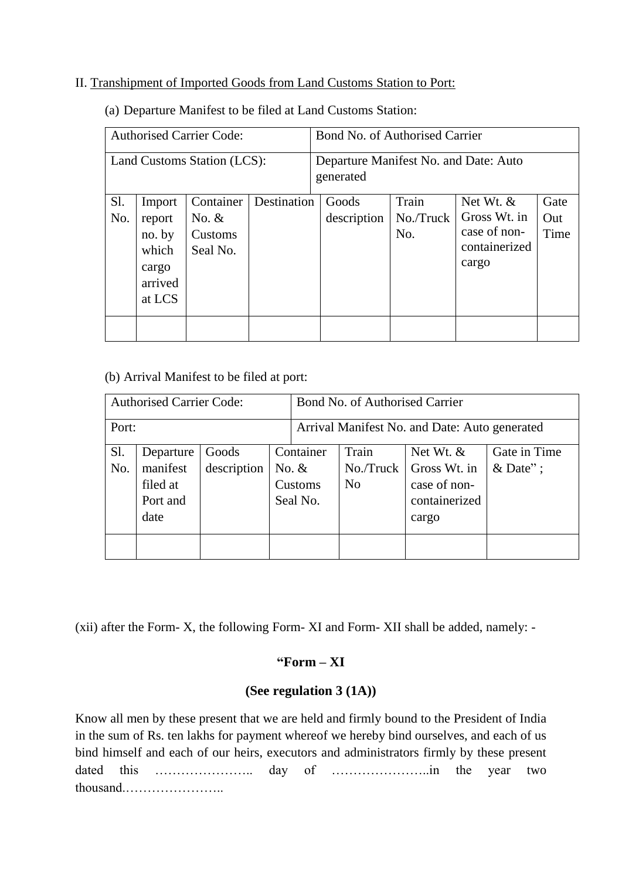### II. Transhipment of Imported Goods from Land Customs Station to Port:

| <b>Authorised Carrier Code:</b> |                   |           |             | Bond No. of Authorised Carrier                     |             |           |               |      |  |
|---------------------------------|-------------------|-----------|-------------|----------------------------------------------------|-------------|-----------|---------------|------|--|
| Land Customs Station (LCS):     |                   |           |             | Departure Manifest No. and Date: Auto<br>generated |             |           |               |      |  |
| Sl.                             | Import            | Container | Destination |                                                    | Goods       | Train     | Net Wt. $&$   | Gate |  |
| No.                             | report            | No. $&$   |             |                                                    | description | No./Truck | Gross Wt. in  | Out  |  |
|                                 | no. by<br>Customs |           |             |                                                    |             | No.       | case of non-  | Time |  |
|                                 | which<br>Seal No. |           |             |                                                    |             |           | containerized |      |  |
|                                 | cargo             |           |             |                                                    |             |           | cargo         |      |  |
|                                 | arrived           |           |             |                                                    |             |           |               |      |  |
|                                 | at LCS            |           |             |                                                    |             |           |               |      |  |
|                                 |                   |           |             |                                                    |             |           |               |      |  |
|                                 |                   |           |             |                                                    |             |           |               |      |  |

(a) Departure Manifest to be filed at Land Customs Station:

(b) Arrival Manifest to be filed at port:

| <b>Authorised Carrier Code:</b> |                                                                                          |  |  | Bond No. of Authorised Carrier                                                                                                                                                  |  |  |  |  |  |
|---------------------------------|------------------------------------------------------------------------------------------|--|--|---------------------------------------------------------------------------------------------------------------------------------------------------------------------------------|--|--|--|--|--|
| Port:                           |                                                                                          |  |  | Arrival Manifest No. and Date: Auto generated                                                                                                                                   |  |  |  |  |  |
| Sl.<br>No.                      | Goods<br>Departure<br>description<br>manifest<br>No. $&$<br>filed at<br>Port and<br>date |  |  | Container<br>Gate in Time<br>Train<br>Net Wt. $&$<br>& Date";<br>Gross Wt. in<br>$No.$ Truck<br>case of non-<br>N <sub>0</sub><br>Customs<br>containerized<br>Seal No.<br>cargo |  |  |  |  |  |
|                                 |                                                                                          |  |  |                                                                                                                                                                                 |  |  |  |  |  |

(xii) after the Form- X, the following Form- XI and Form- XII shall be added, namely: -

# **"Form – XI**

### **(See regulation 3 (1A))**

Know all men by these present that we are held and firmly bound to the President of India in the sum of Rs. ten lakhs for payment whereof we hereby bind ourselves, and each of us bind himself and each of our heirs, executors and administrators firmly by these present dated this ………………….. day of …………………..in the year two thousand.…………………..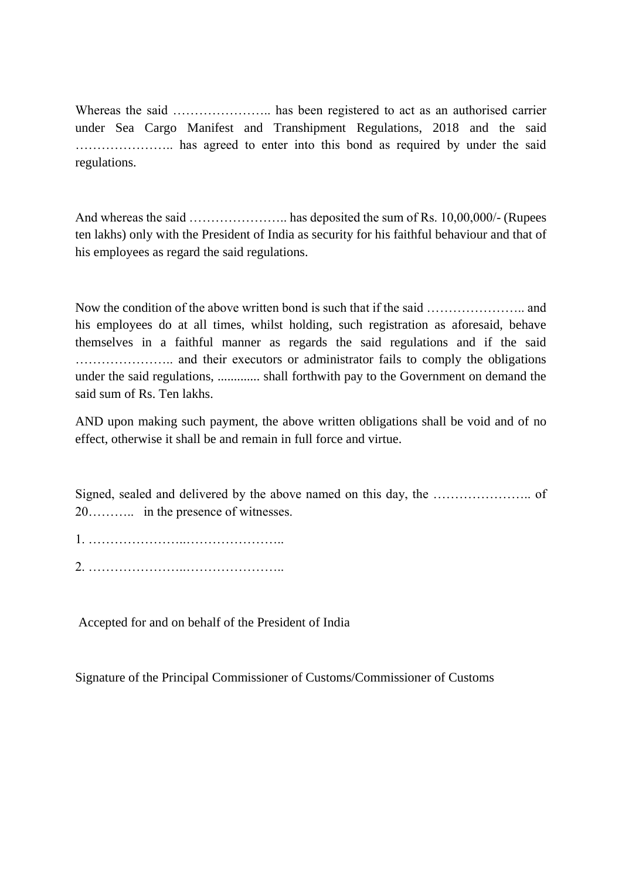Whereas the said ………………….. has been registered to act as an authorised carrier under Sea Cargo Manifest and Transhipment Regulations, 2018 and the said ………………….. has agreed to enter into this bond as required by under the said regulations.

And whereas the said ………………….. has deposited the sum of Rs. 10,00,000/- (Rupees ten lakhs) only with the President of India as security for his faithful behaviour and that of his employees as regard the said regulations.

Now the condition of the above written bond is such that if the said ………………….. and his employees do at all times, whilst holding, such registration as aforesaid, behave themselves in a faithful manner as regards the said regulations and if the said ………………….. and their executors or administrator fails to comply the obligations under the said regulations, ............. shall forthwith pay to the Government on demand the said sum of Rs. Ten lakhs.

AND upon making such payment, the above written obligations shall be void and of no effect, otherwise it shall be and remain in full force and virtue.

Signed, sealed and delivered by the above named on this day, the ………………….. of 20……….. in the presence of witnesses.

1. …………………..………………….. 2. …………………..…………………..

Accepted for and on behalf of the President of India

Signature of the Principal Commissioner of Customs/Commissioner of Customs